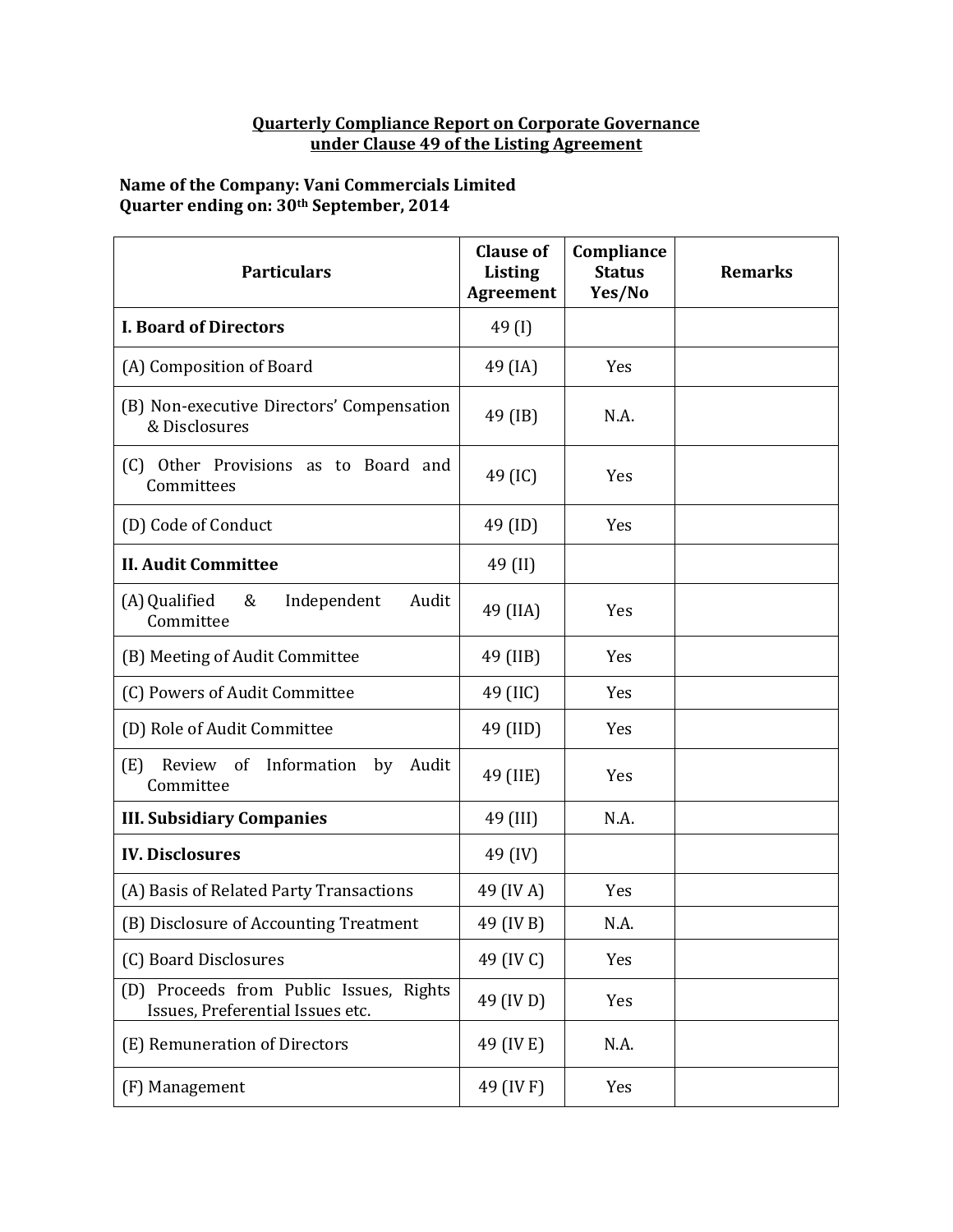## **Quarterly Compliance Report on Corporate Governance under Clause 49 of the Listing Agreement**

## **Name of the Company: Vani Commercials Limited Quarter ending on: 30th September, 2014**

| <b>Particulars</b>                                                          | <b>Clause of</b><br><b>Listing</b><br><b>Agreement</b> | Compliance<br><b>Status</b><br>Yes/No | <b>Remarks</b> |
|-----------------------------------------------------------------------------|--------------------------------------------------------|---------------------------------------|----------------|
| <b>I. Board of Directors</b>                                                | 49 $(I)$                                               |                                       |                |
| (A) Composition of Board                                                    | 49 (IA)                                                | Yes                                   |                |
| (B) Non-executive Directors' Compensation<br>& Disclosures                  | 49 (IB)                                                | N.A.                                  |                |
| (C) Other Provisions as to Board and<br>Committees                          | 49 (IC)                                                | Yes                                   |                |
| (D) Code of Conduct                                                         | 49 (ID)                                                | Yes                                   |                |
| <b>II. Audit Committee</b>                                                  | 49 (II)                                                |                                       |                |
| (A) Qualified<br>&<br>Independent<br>Audit<br>Committee                     | 49 (IIA)                                               | Yes                                   |                |
| (B) Meeting of Audit Committee                                              | 49 (IIB)                                               | Yes                                   |                |
| (C) Powers of Audit Committee                                               | 49 (IIC)                                               | Yes                                   |                |
| (D) Role of Audit Committee                                                 | 49 (IID)                                               | Yes                                   |                |
| Review of Information<br>(E)<br>by<br>Audit<br>Committee                    | 49 (IIE)                                               | Yes                                   |                |
| <b>III. Subsidiary Companies</b>                                            | 49 (III)                                               | N.A.                                  |                |
| <b>IV. Disclosures</b>                                                      | 49 (IV)                                                |                                       |                |
| (A) Basis of Related Party Transactions                                     | 49 (IV A)                                              | Yes                                   |                |
| (B) Disclosure of Accounting Treatment                                      | 49 (IV B)                                              | N.A.                                  |                |
| (C) Board Disclosures                                                       | 49 (IV C)                                              | Yes                                   |                |
| (D) Proceeds from Public Issues, Rights<br>Issues, Preferential Issues etc. | 49 (IV D)                                              | Yes                                   |                |
| (E) Remuneration of Directors                                               | 49 (IV E)                                              | N.A.                                  |                |
| (F) Management                                                              | 49 (IV F)                                              | Yes                                   |                |